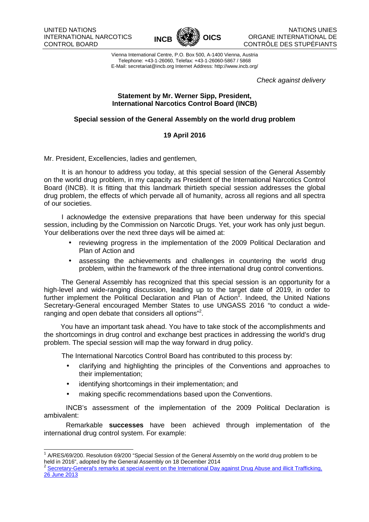

Vienna International Centre, P.O. Box 500, A-1400 Vienna, Austria Telephone: +43-1-26060, Telefax: +43-1-26060-5867 / 5868 E-Mail: secretariat@incb.org Internet Address: http://www.incb.org/

Check against delivery

## **Statement by Mr. Werner Sipp, President, International Narcotics Control Board (INCB)**

## **Special session of the General Assembly on the world drug problem**

## **19 April 2016**

Mr. President, Excellencies, ladies and gentlemen,

It is an honour to address you today, at this special session of the General Assembly on the world drug problem, in my capacity as President of the International Narcotics Control Board (INCB). It is fitting that this landmark thirtieth special session addresses the global drug problem, the effects of which pervade all of humanity, across all regions and all spectra of our societies.

I acknowledge the extensive preparations that have been underway for this special session, including by the Commission on Narcotic Drugs. Yet, your work has only just begun. Your deliberations over the next three days will be aimed at:

- reviewing progress in the implementation of the 2009 Political Declaration and Plan of Action and
- assessing the achievements and challenges in countering the world drug problem, within the framework of the three international drug control conventions.

The General Assembly has recognized that this special session is an opportunity for a high-level and wide-ranging discussion, leading up to the target date of 2019, in order to further implement the Political Declaration and Plan of Action<sup>1</sup>. Indeed, the United Nations Secretary-General encouraged Member States to use UNGASS 2016 "to conduct a wideranging and open debate that considers all options"<sup>2</sup>.

You have an important task ahead. You have to take stock of the accomplishments and the shortcomings in drug control and exchange best practices in addressing the world's drug problem. The special session will map the way forward in drug policy.

The International Narcotics Control Board has contributed to this process by:

- clarifying and highlighting the principles of the Conventions and approaches to their implementation;
- identifying shortcomings in their implementation; and
- making specific recommendations based upon the Conventions.

INCB's assessment of the implementation of the 2009 Political Declaration is ambivalent:

Remarkable **successes** have been achieved through implementation of the international drug control system. For example:

 1 A/RES/69/200. Resolution 69/200 "Special Session of the General Assembly on the world drug problem to be held in 2016", adopted by the General Assembly on 18 December 2014

<sup>&</sup>lt;sup>2</sup> Secretary-General's remarks at special event on the International Day against Drug Abuse and illicit Trafficking, 26 June 2013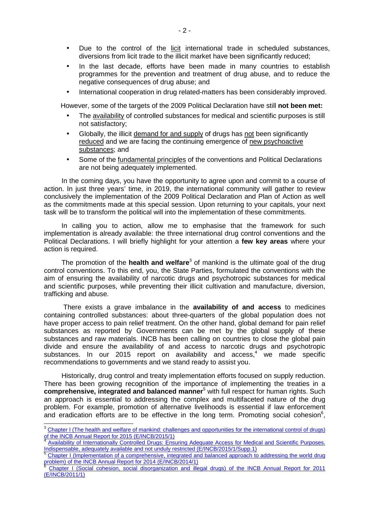- Due to the control of the licit international trade in scheduled substances, diversions from licit trade to the illicit market have been significantly reduced;
- In the last decade, efforts have been made in many countries to establish programmes for the prevention and treatment of drug abuse, and to reduce the negative consequences of drug abuse; and
- International cooperation in drug related-matters has been considerably improved.

However, some of the targets of the 2009 Political Declaration have still **not been met:** 

- The availability of controlled substances for medical and scientific purposes is still not satisfactory;
- Globally, the illicit demand for and supply of drugs has not been significantly reduced and we are facing the continuing emergence of new psychoactive substances; and
- Some of the fundamental principles of the conventions and Political Declarations are not being adequately implemented.

In the coming days, you have the opportunity to agree upon and commit to a course of action. In just three years' time, in 2019, the international community will gather to review conclusively the implementation of the 2009 Political Declaration and Plan of Action as well as the commitments made at this special session. Upon returning to your capitals, your next task will be to transform the political will into the implementation of these commitments.

In calling you to action, allow me to emphasise that the framework for such implementation is already available: the three international drug control conventions and the Political Declarations. I will briefly highlight for your attention a **few key areas** where your action is required.

The promotion of the **health and welfare**<sup>3</sup> of mankind is the ultimate goal of the drug control conventions. To this end, you, the State Parties, formulated the conventions with the aim of ensuring the availability of narcotic drugs and psychotropic substances for medical and scientific purposes, while preventing their illicit cultivation and manufacture, diversion, trafficking and abuse.

 There exists a grave imbalance in the **availability of and access** to medicines containing controlled substances: about three-quarters of the global population does not have proper access to pain relief treatment. On the other hand, global demand for pain relief substances as reported by Governments can be met by the global supply of these substances and raw materials. INCB has been calling on countries to close the global pain divide and ensure the availability of and access to narcotic drugs and psychotropic substances. In our 2015 report on availability and access,<sup>4</sup> we made specific recommendations to governments and we stand ready to assist you.

Historically, drug control and treaty implementation efforts focused on supply reduction. There has been growing recognition of the importance of implementing the treaties in a **comprehensive, integrated and balanced manner**<sup>5</sup> with full respect for human rights. Such an approach is essential to addressing the complex and multifaceted nature of the drug problem. For example, promotion of alternative livelihoods is essential if law enforcement and eradication efforts are to be effective in the long term. Promoting social cohesion<sup>6</sup>,

 $\overline{a}$ 

<sup>&</sup>lt;sup>3</sup> Chapter I (The health and welfare of mankind: challenges and opportunities for the international control of drugs) of the INCB Annual Report for 2015 (E/INCB/2015/1)<br><sup>4</sup> Aveilability of Internationally Controlled Drugo: Eng

Availability of Internationally Controlled Drugs: Ensuring Adequate Access for Medical and Scientific Purposes. Indispensable, adequately available and not unduly restricted (E/INCB/2015/1/Supp.1)

<sup>5</sup> Chapter I (Implementation of a comprehensive, integrated and balanced approach to addressing the world drug problem) of the INCB Annual Report for 2014 (E/INCB/2014/1)

<sup>6</sup> Chapter I (Social cohesion, social disorganization and illegal drugs) of the INCB Annual Report for 2011 (E/INCB/2011/1)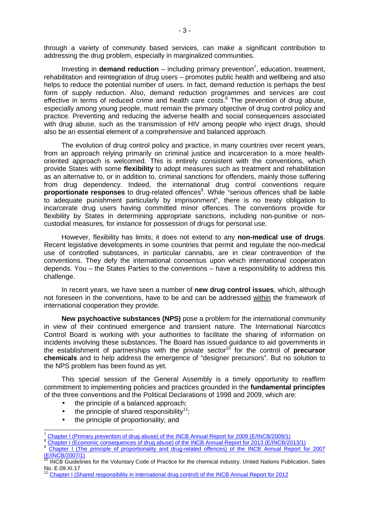through a variety of community based services, can make a significant contribution to addressing the drug problem, especially in marginalized communities.

Investing in **demand reduction** – including primary prevention<sup>7</sup>, education, treatment, rehabilitation and reintegration of drug users – promotes public health and wellbeing and also helps to reduce the potential number of users. In fact, demand reduction is perhaps the best form of supply reduction. Also, demand reduction programmes and services are cost effective in terms of reduced crime and health care costs. $8$  The prevention of drug abuse, especially among young people, must remain the primary objective of drug control policy and practice. Preventing and reducing the adverse health and social consequences associated with drug abuse, such as the transmission of HIV among people who inject drugs, should also be an essential element of a comprehensive and balanced approach.

The evolution of drug control policy and practice, in many countries over recent years, from an approach relying primarily on criminal justice and incarceration to a more healthoriented approach is welcomed. This is entirely consistent with the conventions, which provide States with some **flexibility** to adopt measures such as treatment and rehabilitation as an alternative to, or in addition to, criminal sanctions for offenders, mainly those suffering from drug dependency. Indeed, the international drug control conventions require proportionate responses to drug-related offences<sup>9</sup>. While "serious offences shall be liable to adequate punishment particularly by imprisonment", there is no treaty obligation to incarcerate drug users having committed minor offences. The conventions provide for flexibility by States in determining appropriate sanctions, including non-punitive or noncustodial measures, for instance for possession of drugs for personal use.

However, flexibility has limits; it does not extend to any **non-medical use of drugs**. Recent legislative developments in some countries that permit and regulate the non-medical use of controlled substances, in particular cannabis, are in clear contravention of the conventions. They defy the international consensus upon which international cooperation depends. You – the States Parties to the conventions – have a responsibility to address this challenge.

In recent years, we have seen a number of **new drug control issues**, which, although not foreseen in the conventions, have to be and can be addressed within the framework of international cooperation they provide.

**New psychoactive substances (NPS)** pose a problem for the international community in view of their continued emergence and transient nature. The International Narcotics Control Board is working with your authorities to facilitate the sharing of information on incidents involving these substances. The Board has issued guidance to aid governments in the establishment of partnerships with the private sector<sup>10</sup> for the control of **precursor chemicals** and to help address the emergence of "designer precursors". But no solution to the NPS problem has been found as yet.

This special session of the General Assembly is a timely opportunity to reaffirm commitment to implementing policies and practices grounded in the **fundamental principles** of the three conventions and the Political Declarations of 1998 and 2009, which are:

- the principle of a balanced approach;
- $\bullet$  the principle of shared responsibility<sup>11</sup>;
- the principle of proportionality; and

 $\overline{a}$ 

<sup>7</sup> Chapter I (Primary prevention of drug abuse) of the INCB Annual Report for 2009 (E/INCB/2009/1)

<sup>8</sup> Chapter I (Economic consequences of drug abuse) of the INCB Annual Report for 2013 (E/INCB/2013/1)

<sup>9</sup> Chapter I (The principle of proportionality and drug-related offences) of the INCB Annual Report for 2007 (E/INCB/2007/1)

<sup>10</sup> INCB Guidelines for the Voluntary Code of Practice for the chemical industry, United Nations Publication, Sales No. E.09.XI.17

<sup>11</sup> Chapter I (Shared responsibility in international drug control) of the INCB Annual Report for 2012